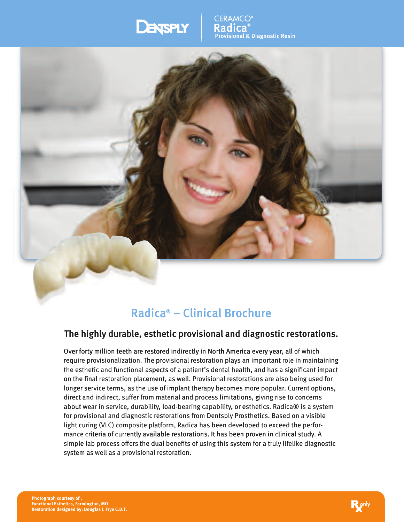# **DENSPLY**

CERAMCO **Radica® Radica Provisional & Diagnostic Resin ®aProvisional al Diagnostic**



# **Radica® – Clinical Brochure Radica ®**

# **The highly durable, esthetic provisional and diagnostic restorations. high highly esthetic thetic provisional and nical Brochure**<br>isional and diagnostic restorations.<br>y in North America every year, all of which

Over forty million teeth are restored indirectly in North America every year, all of which require provisionalization. The provisional restoration plays an important role in maintaining the esthetic and functional aspects of a patient's dental health, and has a significant impact<br>on the final restoration placement, as well. Provisional restorations are also being used for<br>longer service terms, as the use on the final restoration placement, as well. Provisional restorations are also being used for on the final restoration placement, as well. Provisional restorations are also being used for<br>longer service terms, as the use of implant therapy becomes more popular. Current options, direct and indirect, suffer from material and process limitations, giving rise to concerns about wear in service, durability, load-bearing capability, or esthetics. Radica® is a system for provisional and diagnostic restorations from Dentsply Prosthetics. Based on a visible light curing (VLC) composite platform, Radica has been developed to exceed the performance criteria of currently available restorations. It has been proven in clinical study. A simple lab process offers the dual benefits of using this system for a truly lifelike diagnostic system as well as a provisional restoration. , or esthetics. Radica® is a syst<br>y Prosthetics. Based on a visible<br>leveloped to exceed the perfor**y**: Due lab process offers the dual benefits of using this syst<br>
em as well as a provisional restoration.<br>
f:<br>
f:<br>
armington, Mo<br>
by: Douglas J. Frye C.D.T.

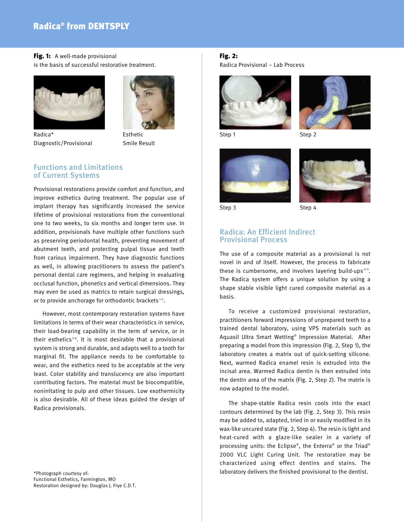# **Radica® from DENTSPLY**

**Fig. 1:** A well-made provisional is the basis of successful restorative treatment.





Radica\* Esthetic Diagnostic/Provisional Smile Result

# **Functions and Limitations of Current Systems**

Provisional restorations provide comfort and function, and improve esthetics during treatment. The popular use of implant therapy has significantly increased the service lifetime of provisional restorations from the conventional one to two weeks, to six months and longer term use. In addition, provisionals have multiple other functions such as preserving periodontal health, preventing movement of abutment teeth, and protecting pulpal tissue and teeth from carious impairment. They have diagnostic functions as well, in allowing practitioners to assess the patient's personal dental care regimens, and helping in evaluating occlusal function, phonetics and vertical dimensions. They may even be used as matrics to retain surgical dressings, or to provide anchorage for orthodontic brackets<sup>14</sup>.

However, most contemporary restoration systems have limitations in terms of their wear characteristics in service, their load-bearing capability in the term of service, or in their esthetics<sup>58</sup>. It is most desirable that a provisional system is strong and durable, and adapts well to a tooth for marginal fit. The appliance needs to be comfortable to wear, and the esthetics need to be acceptable at the very least. Color stability and translucency are also important contributing factors. The material must be biocompatible, nonirritating to pulp and other tissues. Low exothermicity is also desirable. All of these ideas guided the design of Radica provisionals.

#### \*Photograph courtesy of: Functional Esthetics, Farmington, MO Restoration designed by: Douglas J. Frye C.D.T.

## **Fig. 2:**

Radica Provisional – Lab Process





Step 1 Step 2





# **Radica: An Efficient Indirect Provisional Process**

The use of a composite material as a provisional is not novel in and of itself. However, the process to fabricate these is cumbersome, and involves layering build-ups<sup>9-11</sup>. The Radica system offers a unique solution by using a shape stable visible light cured composite material as a basis.

To receive a customized provisional restoration, practitioners forward impressions of unprepared teeth to a trained dental laboratory, using VPS materials such as Aquasil Ultra Smart Wetting® Impression Material. After preparing a model from this impression (Fig. 2, Step 1), the laboratory creates a matrix out of quick-setting silicone. Next, warmed Radica enamel resin is extruded into the incisal area. Warmed Radica dentin is then extruded into the dentin area of the matrix (Fig. 2, Step 2). The matrix is now adapted to the model.

The shape-stable Radica resin cools into the exact contours determined by the lab (Fig. 2, Step 3). This resin may be added to, adapted, tried in or easily modified in its wax-like uncured state (Fig. 2, Step 4). The resin is light and heat-cured with a glaze-like sealer in a variety of processing units: the Eclipse®, the Enterra® or the Triad® 2000 VLC Light Curing Unit. The restoration may be characterized using effect dentins and stains. The laboratory delivers the finished provisional to the dentist.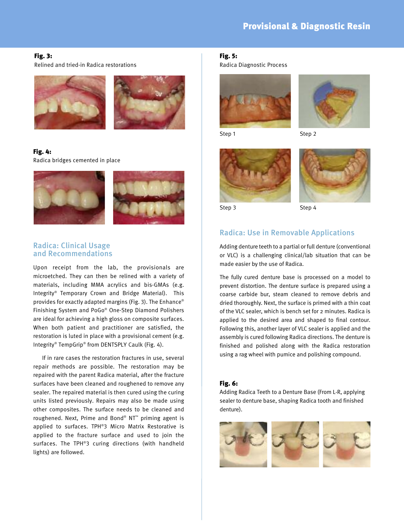## **Fig. 3:**

Relined and tried-in Radica restorations



**Fig. 4:** Radica bridges cemented in place



# **Radica: Clinical Usage and Recommendations**

Upon receipt from the lab, the provisionals are microetched. They can then be relined with a variety of materials, including MMA acrylics and bis-GMAs (e.g. Integrity® Temporary Crown and Bridge Material). This provides for exactly adapted margins (Fig. 3). The Enhance® Finishing System and PoGo® One-Step Diamond Polishers are ideal for achieving a high gloss on composite surfaces. When both patient and practitioner are satisfied, the restoration is luted in place with a provisional cement (e.g. Integrity® TempGrip® from DENTSPLY Caulk (Fig. 4).

If in rare cases the restoration fractures in use, several repair methods are possible. The restoration may be repaired with the parent Radica material, after the fracture surfaces have been cleaned and roughened to remove any sealer. The repaired material is then cured using the curing units listed previously. Repairs may also be made using other composites. The surface needs to be cleaned and roughened. Next, Prime and Bond® NT™ priming agent is applied to surfaces. TPH®3 Micro Matrix Restorative is applied to the fracture surface and used to join the surfaces. The TPH®3 curing directions (with handheld lights) are followed.

# **Fig. 5:**

Radica Diagnostic Process





Step 1 Step 2





Step 3 Step 4

# **Radica: Use in Removable Applications**

Adding denture teeth to a partial or full denture (conventional or VLC) is a challenging clinical/lab situation that can be made easier by the use of Radica.

The fully cured denture base is processed on a model to prevent distortion. The denture surface is prepared using a coarse carbide bur, steam cleaned to remove debris and dried thoroughly. Next, the surface is primed with a thin coat of the VLC sealer, which is bench set for 2 minutes. Radica is applied to the desired area and shaped to final contour. Following this, another layer of VLC sealer is applied and the assembly is cured following Radica directions. The denture is finished and polished along with the Radica restoration using a rag wheel with pumice and polishing compound.

## **Fig. 6:**

Adding Radica Teeth to a Denture Base (From L-R, applying sealer to denture base, shaping Radica tooth and finished denture).

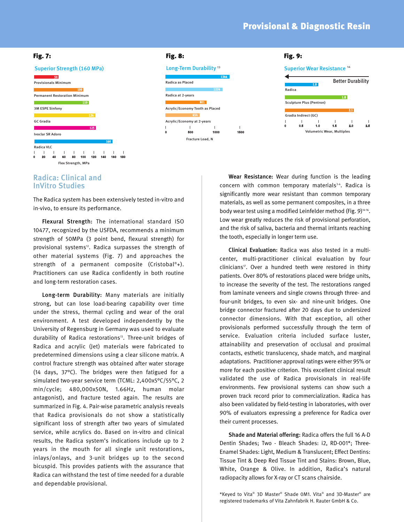# **Provisional & Diagnostic Resin**





# **Radica: Clinical and InVitro Studies**

The Radica system has been extensively tested in-vitro and in-vivo, to ensure its performance.

**Flexural Strength:** The international standard ISO 10477, recognized by the USFDA, recommends a minimum strength of 50MPa (3 point bend, flexural strength) for provisional systems<sup>12</sup>. Radica surpasses the strength of other material systems (Fig. 7) and approaches the strength of a permanent composite (Cristobal ®+). Practitioners can use Radica confidently in both routine and long-term restoration cases.

**Long-term Durability:** Many materials are initially strong, but can lose load-bearing capability over time under the stress, thermal cycling and wear of the oral environment. A test developed independently by the University of Regensburg in Germany was used to evaluate durability of Radica restorations<sup>13</sup>. Three-unit bridges of Radica and acrylic (Jet) materials were fabricated to predetermined dimensions using a clear silicone matrix. A control fracture strength was obtained after water storage (14 days, 37°C). The bridges were then fatigued for a simulated two-year service term (TCML: 2,400x5°C/55°C, 2 min/cycle; 480,000x50N, 1.66Hz, human molar antagonist), and fracture tested again. The results are summarized in Fig. 4. Pair-wise parametric analysis reveals that Radica provisionals do not show a statistically significant loss of strength after two years of simulated service, while acrylics do. Based on in-vitro and clinical results, the Radica system's indications include up to 2 years in the mouth for all single unit restorations, inlays/onlays, and 3-unit bridges up to the second bicuspid. This provides patients with the assurance that Radica can withstand the test of time needed for a durable and dependable provisional.

**Wear Resistance:** Wear during function is the leading concern with common temporary materials<sup>34</sup>. Radica is significantly more wear resistant than common temporary materials, as well as some permanent composites, in a three body wear test using a modified Leinfelder method (Fig. 9)<sup>14-16</sup>. Low wear greatly reduces the risk of provisional perforation, and the risk of saliva, bacteria and thermal irritants reaching the tooth, especially in longer term use.

**Clinical Evaluation:** Radica was also tested in a multicenter, multi-practitioner clinical evaluation by four clinicians<sup>17</sup>. Over a hundred teeth were restored in thirty patients. Over 80% of restorations placed were bridge units, to increase the severity of the test. The restorations ranged from laminate veneers and single crowns through three- and four-unit bridges, to even six- and nine-unit bridges. One bridge connector fractured after 20 days due to undersized connector dimensions. With that exception, all other provisionals performed successfully through the term of service. Evaluation criteria included surface luster, attainability and preservation of occlusal and proximal contacts, esthetic translucency, shade match, and marginal adaptations. Practitioner approval ratings were either 95% or more for each positive criterion. This excellent clinical result validated the use of Radica provisionals in real-life environments. Few provisional systems can show such a proven track record prior to commercialization. Radica has also been validated by field-testing in laboratories, with over 90% of evaluators expressing a preference for Radica over their current processes.

**Shade and Material offering:** Radica offers the full 16 A-D Dentin Shades; Two - Bleach Shades: i2, RD-001\*; Three-Enamel Shades: Light, Medium & Translucent; Effect Dentins: Tissue Tint & Deep Red Tissue Tint and Stains: Brown, Blue, White, Orange & Olive. In addition, Radica's natural radiopacity allows for X-ray or CT scans chairside.

\*Keyed to Vita® 3D Master ® Shade 0M1. Vita® and 3D-Master ® are registered trademarks of Vita Zahnfabrik H. Rauter GmbH & Co.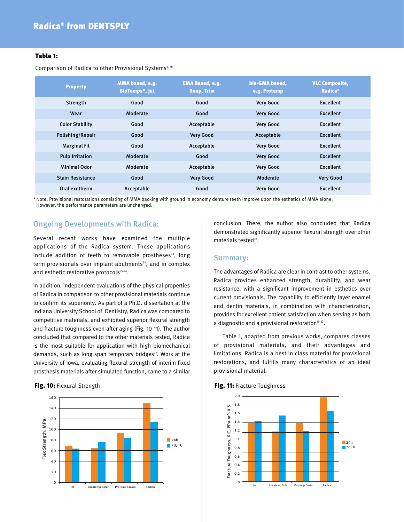## **Table 1:**

Comparison of Radica to other Provisional Systems<sup>4, 18</sup>

| <b>Property</b>         | MMA based, e.g.<br><b>BioTemps*, Jet</b> | <b>EMA Based, e.g.</b><br><b>Snap, Trim</b> | bis-GMA based,<br>e.g. Protemp | <b>VLC Composite,</b><br><b>Radica</b> <sup>®</sup> |
|-------------------------|------------------------------------------|---------------------------------------------|--------------------------------|-----------------------------------------------------|
| Strength                | Good                                     | Good                                        | <b>Very Good</b>               | <b>Excellent</b>                                    |
| Wear                    | Moderate                                 | Good                                        | <b>Very Good</b>               | <b>Excellent</b>                                    |
| <b>Color Stability</b>  | Good                                     | Acceptable                                  | <b>Very Good</b>               | <b>Excellent</b>                                    |
| Polishing/Repair        | Good                                     | <b>Very Good</b>                            | Acceptable                     | <b>Excellent</b>                                    |
| <b>Marginal Fit</b>     | Good                                     | Acceptable                                  | <b>Very Good</b>               | <b>Excellent</b>                                    |
| <b>Pulp Irritation</b>  | Moderate                                 | Good                                        | <b>Very Good</b>               | <b>Excellent</b>                                    |
| <b>Minimal Odor</b>     | Moderate                                 | Acceptable                                  | <b>Very Good</b>               | <b>Excellent</b>                                    |
| <b>Stain Resistance</b> | Good                                     | <b>Very Good</b>                            | Moderate                       | <b>Very Good</b>                                    |
| Oral exotherm           | Acceptable                               | Good                                        | <b>Very Good</b>               | <b>Excellent</b>                                    |

\*Note: Provisional restorations consisting of MMA backing with ground in economy denture teeth improve upon the esthetics of MMA alone. However, the performance parameters are unchanged.

# **Ongoing Developments with Radica:**

Several recent works have examined the multiple applications of the Radica system. These applications include addition of teeth to removable prostheses<sup>23</sup>, long term provisionals over implant abutments<sup>24</sup>, and in complex and esthetic restorative protocols<sup>25-26</sup>.

In addition, independent evaluations of the physical properties of Radica in comparison to other provisional materials continue to confirm its superiority. As part of a Ph.D. dissertation at the Indiana University School of Dentistry, Radica was compared to competitive materials, and exhibited superior flexural strength and fracture toughness even after aging (Fig. 10-11). The author concluded that compared to the other materials tested, Radica is the most suitable for application with high biomechanical demands, such as long span temporary bridges<sup>27</sup>. Work at the University of Iowa, evaluating flexural strength of interim fixed prosthesis materials after simulated function, came to a similar

#### **Fig. 10:** Flexural Strength **Fig. 11:** Fracture Toughness



conclusion. There, the author also concluded that Radica demonstrated significantly superior flexural strength over other materials tested<sup>28</sup>.

# **Summary:**

The advantages of Radica are clear in contrast to other systems. Radica provides enhanced strength, durability, and wear resistance, with a significant improvement in esthetics over current provisionals. The capability to efficiently layer enamel and dentin materials, in combination with characterization, provides for excellent patient satisfaction when serving as both a diagnostic and a provisional restoration $19-22$ .

Table 1, adapted from previous works, compares classes of provisional materials, and their advantages and limitations. Radica is a best in class material for provisional restorations, and fulfills many characteristics of an ideal provisional material.